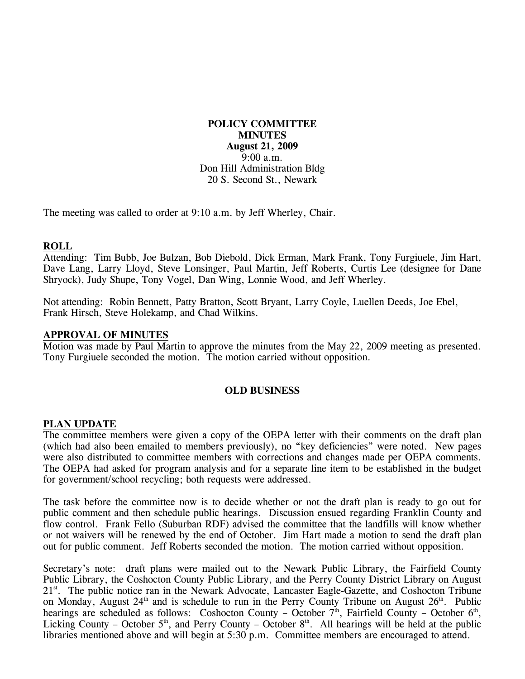**POLICY COMMITTEE MINUTES August 21, 2009**  9:00 a.m. Don Hill Administration Bldg 20 S. Second St., Newark

The meeting was called to order at 9:10 a.m. by Jeff Wherley, Chair.

## **ROLL**

Attending: Tim Bubb, Joe Bulzan, Bob Diebold, Dick Erman, Mark Frank, Tony Furgiuele, Jim Hart, Dave Lang, Larry Lloyd, Steve Lonsinger, Paul Martin, Jeff Roberts, Curtis Lee (designee for Dane Shryock), Judy Shupe, Tony Vogel, Dan Wing, Lonnie Wood, and Jeff Wherley.

Not attending: Robin Bennett, Patty Bratton, Scott Bryant, Larry Coyle, Luellen Deeds, Joe Ebel, Frank Hirsch, Steve Holekamp, and Chad Wilkins.

### **APPROVAL OF MINUTES**

Motion was made by Paul Martin to approve the minutes from the May 22, 2009 meeting as presented. Tony Furgiuele seconded the motion. The motion carried without opposition.

### **OLD BUSINESS**

#### **PLAN UPDATE**

The committee members were given a copy of the OEPA letter with their comments on the draft plan (which had also been emailed to members previously), no "key deficiencies" were noted. New pages were also distributed to committee members with corrections and changes made per OEPA comments. The OEPA had asked for program analysis and for a separate line item to be established in the budget for government/school recycling; both requests were addressed.

The task before the committee now is to decide whether or not the draft plan is ready to go out for public comment and then schedule public hearings. Discussion ensued regarding Franklin County and flow control. Frank Fello (Suburban RDF) advised the committee that the landfills will know whether or not waivers will be renewed by the end of October. Jim Hart made a motion to send the draft plan out for public comment. Jeff Roberts seconded the motion. The motion carried without opposition.

Secretary's note: draft plans were mailed out to the Newark Public Library, the Fairfield County Public Library, the Coshocton County Public Library, and the Perry County District Library on August 21<sup>st</sup>. The public notice ran in the Newark Advocate, Lancaster Eagle-Gazette, and Coshocton Tribune on Monday, August  $24<sup>th</sup>$  and is schedule to run in the Perry County Tribune on August  $26<sup>th</sup>$ . Public hearings are scheduled as follows: Coshocton County – October  $7<sup>th</sup>$ , Fairfield County – October  $6<sup>th</sup>$ , Licking County – October  $5<sup>th</sup>$ , and Perry County – October  $8<sup>th</sup>$ . All hearings will be held at the public libraries mentioned above and will begin at 5:30 p.m. Committee members are encouraged to attend.